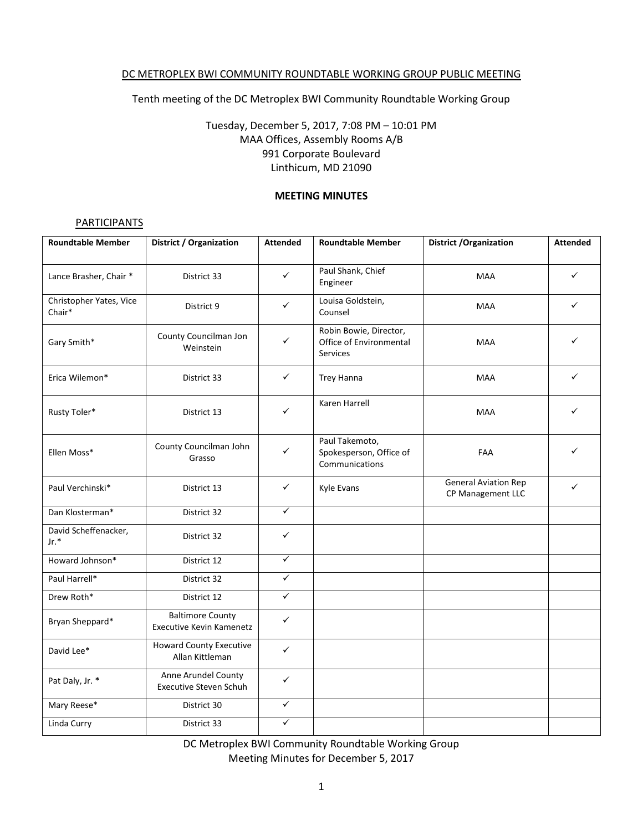#### DC METROPLEX BWI COMMUNITY ROUNDTABLE WORKING GROUP PUBLIC MEETING

Tenth meeting of the DC Metroplex BWI Community Roundtable Working Group

# Tuesday, December 5, 2017, 7:08 PM – 10:01 PM MAA Offices, Assembly Rooms A/B 991 Corporate Boulevard Linthicum, MD 21090

#### **MEETING MINUTES**

### **PARTICIPANTS**

| <b>Roundtable Member</b>          | <b>District / Organization</b>                             | <b>Attended</b> | <b>Roundtable Member</b>                                             | <b>District / Organization</b>                   | <b>Attended</b> |
|-----------------------------------|------------------------------------------------------------|-----------------|----------------------------------------------------------------------|--------------------------------------------------|-----------------|
| Lance Brasher, Chair *            | District 33                                                | $\checkmark$    | Paul Shank, Chief<br>Engineer                                        | <b>MAA</b>                                       | ✓               |
| Christopher Yates, Vice<br>Chair* | District 9                                                 | $\checkmark$    | Louisa Goldstein,<br>Counsel                                         | <b>MAA</b>                                       | ✓               |
| Gary Smith*                       | County Councilman Jon<br>Weinstein                         | ✓               | Robin Bowie, Director,<br>Office of Environmental<br><b>Services</b> | <b>MAA</b>                                       |                 |
| Erica Wilemon*                    | District 33                                                | $\checkmark$    | <b>Trey Hanna</b>                                                    | <b>MAA</b>                                       | ✓               |
| Rusty Toler*                      | District 13                                                | $\checkmark$    | Karen Harrell                                                        | <b>MAA</b>                                       | ✓               |
| Ellen Moss*                       | County Councilman John<br>Grasso                           | $\checkmark$    | Paul Takemoto,<br>Spokesperson, Office of<br>Communications          | FAA                                              | ✓               |
| Paul Verchinski*                  | District 13                                                | $\checkmark$    | Kyle Evans                                                           | <b>General Aviation Rep</b><br>CP Management LLC | ✓               |
| Dan Klosterman*                   | District 32                                                | $\checkmark$    |                                                                      |                                                  |                 |
| David Scheffenacker,<br>$Jr.*$    | District 32                                                | ✓               |                                                                      |                                                  |                 |
| Howard Johnson*                   | District 12                                                | $\checkmark$    |                                                                      |                                                  |                 |
| Paul Harrell*                     | District 32                                                | $\checkmark$    |                                                                      |                                                  |                 |
| Drew Roth*                        | District 12                                                | $\checkmark$    |                                                                      |                                                  |                 |
| Bryan Sheppard*                   | <b>Baltimore County</b><br><b>Executive Kevin Kamenetz</b> | $\checkmark$    |                                                                      |                                                  |                 |
| David Lee*                        | <b>Howard County Executive</b><br>Allan Kittleman          | $\checkmark$    |                                                                      |                                                  |                 |
| Pat Daly, Jr. *                   | Anne Arundel County<br><b>Executive Steven Schuh</b>       | $\checkmark$    |                                                                      |                                                  |                 |
| Mary Reese*                       | District 30                                                | $\checkmark$    |                                                                      |                                                  |                 |
| Linda Curry                       | District 33                                                | ✓               |                                                                      |                                                  |                 |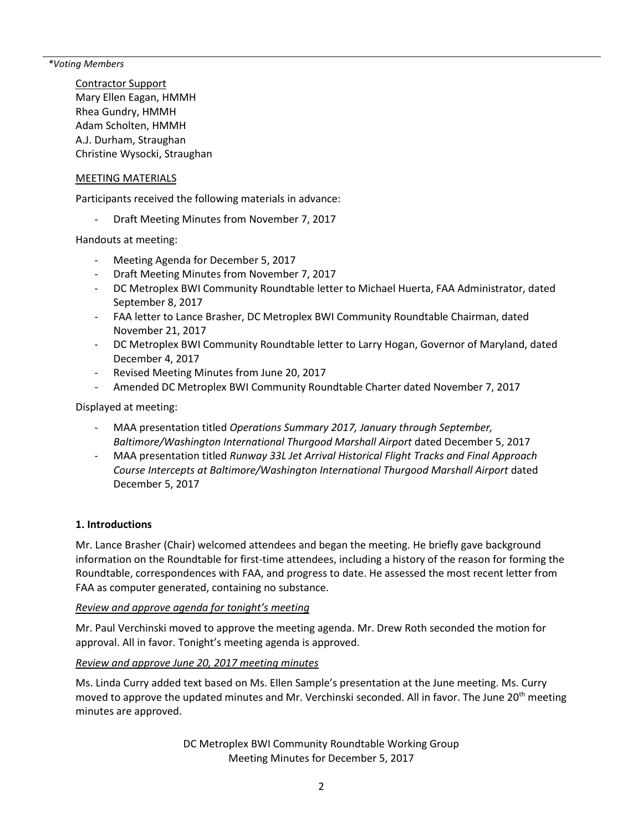*\*Voting Members*

Contractor Support Mary Ellen Eagan, HMMH Rhea Gundry, HMMH Adam Scholten, HMMH A.J. Durham, Straughan Christine Wysocki, Straughan

### MEETING MATERIALS

Participants received the following materials in advance:

Draft Meeting Minutes from November 7, 2017

Handouts at meeting:

- Meeting Agenda for December 5, 2017
- Draft Meeting Minutes from November 7, 2017
- DC Metroplex BWI Community Roundtable letter to Michael Huerta, FAA Administrator, dated September 8, 2017
- FAA letter to Lance Brasher, DC Metroplex BWI Community Roundtable Chairman, dated November 21, 2017
- DC Metroplex BWI Community Roundtable letter to Larry Hogan, Governor of Maryland, dated December 4, 2017
- Revised Meeting Minutes from June 20, 2017
- Amended DC Metroplex BWI Community Roundtable Charter dated November 7, 2017

Displayed at meeting:

- MAA presentation titled *Operations Summary 2017, January through September, Baltimore/Washington International Thurgood Marshall Airport* dated December 5, 2017
- MAA presentation titled *Runway 33L Jet Arrival Historical Flight Tracks and Final Approach Course Intercepts at Baltimore/Washington International Thurgood Marshall Airport* dated December 5, 2017

### **1. Introductions**

Mr. Lance Brasher (Chair) welcomed attendees and began the meeting. He briefly gave background information on the Roundtable for first-time attendees, including a history of the reason for forming the Roundtable, correspondences with FAA, and progress to date. He assessed the most recent letter from FAA as computer generated, containing no substance.

#### *Review and approve agenda for tonight's meeting*

Mr. Paul Verchinski moved to approve the meeting agenda. Mr. Drew Roth seconded the motion for approval. All in favor. Tonight's meeting agenda is approved.

## *Review and approve June 20, 2017 meeting minutes*

Ms. Linda Curry added text based on Ms. Ellen Sample's presentation at the June meeting. Ms. Curry moved to approve the updated minutes and Mr. Verchinski seconded. All in favor. The June 20<sup>th</sup> meeting minutes are approved.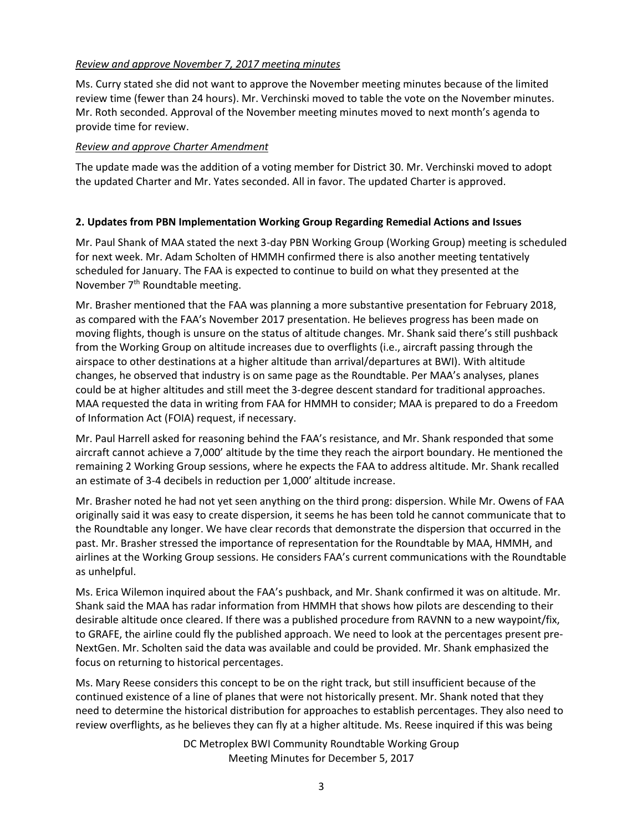# *Review and approve November 7, 2017 meeting minutes*

Ms. Curry stated she did not want to approve the November meeting minutes because of the limited review time (fewer than 24 hours). Mr. Verchinski moved to table the vote on the November minutes. Mr. Roth seconded. Approval of the November meeting minutes moved to next month's agenda to provide time for review.

## *Review and approve Charter Amendment*

The update made was the addition of a voting member for District 30. Mr. Verchinski moved to adopt the updated Charter and Mr. Yates seconded. All in favor. The updated Charter is approved.

## **2. Updates from PBN Implementation Working Group Regarding Remedial Actions and Issues**

Mr. Paul Shank of MAA stated the next 3-day PBN Working Group (Working Group) meeting is scheduled for next week. Mr. Adam Scholten of HMMH confirmed there is also another meeting tentatively scheduled for January. The FAA is expected to continue to build on what they presented at the November 7<sup>th</sup> Roundtable meeting.

Mr. Brasher mentioned that the FAA was planning a more substantive presentation for February 2018, as compared with the FAA's November 2017 presentation. He believes progress has been made on moving flights, though is unsure on the status of altitude changes. Mr. Shank said there's still pushback from the Working Group on altitude increases due to overflights (i.e., aircraft passing through the airspace to other destinations at a higher altitude than arrival/departures at BWI). With altitude changes, he observed that industry is on same page as the Roundtable. Per MAA's analyses, planes could be at higher altitudes and still meet the 3-degree descent standard for traditional approaches. MAA requested the data in writing from FAA for HMMH to consider; MAA is prepared to do a Freedom of Information Act (FOIA) request, if necessary.

Mr. Paul Harrell asked for reasoning behind the FAA's resistance, and Mr. Shank responded that some aircraft cannot achieve a 7,000' altitude by the time they reach the airport boundary. He mentioned the remaining 2 Working Group sessions, where he expects the FAA to address altitude. Mr. Shank recalled an estimate of 3-4 decibels in reduction per 1,000' altitude increase.

Mr. Brasher noted he had not yet seen anything on the third prong: dispersion. While Mr. Owens of FAA originally said it was easy to create dispersion, it seems he has been told he cannot communicate that to the Roundtable any longer. We have clear records that demonstrate the dispersion that occurred in the past. Mr. Brasher stressed the importance of representation for the Roundtable by MAA, HMMH, and airlines at the Working Group sessions. He considers FAA's current communications with the Roundtable as unhelpful.

Ms. Erica Wilemon inquired about the FAA's pushback, and Mr. Shank confirmed it was on altitude. Mr. Shank said the MAA has radar information from HMMH that shows how pilots are descending to their desirable altitude once cleared. If there was a published procedure from RAVNN to a new waypoint/fix, to GRAFE, the airline could fly the published approach. We need to look at the percentages present pre-NextGen. Mr. Scholten said the data was available and could be provided. Mr. Shank emphasized the focus on returning to historical percentages.

Ms. Mary Reese considers this concept to be on the right track, but still insufficient because of the continued existence of a line of planes that were not historically present. Mr. Shank noted that they need to determine the historical distribution for approaches to establish percentages. They also need to review overflights, as he believes they can fly at a higher altitude. Ms. Reese inquired if this was being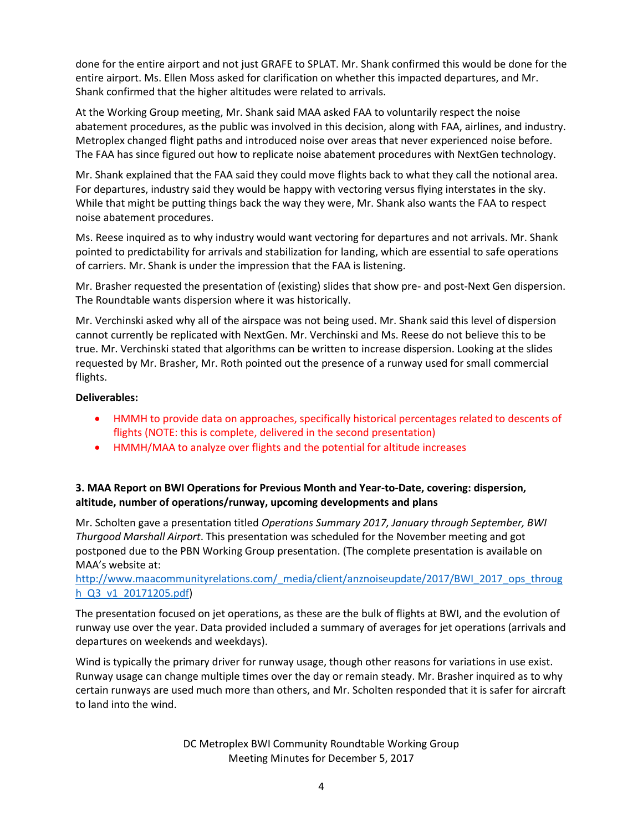done for the entire airport and not just GRAFE to SPLAT. Mr. Shank confirmed this would be done for the entire airport. Ms. Ellen Moss asked for clarification on whether this impacted departures, and Mr. Shank confirmed that the higher altitudes were related to arrivals.

At the Working Group meeting, Mr. Shank said MAA asked FAA to voluntarily respect the noise abatement procedures, as the public was involved in this decision, along with FAA, airlines, and industry. Metroplex changed flight paths and introduced noise over areas that never experienced noise before. The FAA has since figured out how to replicate noise abatement procedures with NextGen technology.

Mr. Shank explained that the FAA said they could move flights back to what they call the notional area. For departures, industry said they would be happy with vectoring versus flying interstates in the sky. While that might be putting things back the way they were, Mr. Shank also wants the FAA to respect noise abatement procedures.

Ms. Reese inquired as to why industry would want vectoring for departures and not arrivals. Mr. Shank pointed to predictability for arrivals and stabilization for landing, which are essential to safe operations of carriers. Mr. Shank is under the impression that the FAA is listening.

Mr. Brasher requested the presentation of (existing) slides that show pre- and post-Next Gen dispersion. The Roundtable wants dispersion where it was historically.

Mr. Verchinski asked why all of the airspace was not being used. Mr. Shank said this level of dispersion cannot currently be replicated with NextGen. Mr. Verchinski and Ms. Reese do not believe this to be true. Mr. Verchinski stated that algorithms can be written to increase dispersion. Looking at the slides requested by Mr. Brasher, Mr. Roth pointed out the presence of a runway used for small commercial flights.

### **Deliverables:**

- HMMH to provide data on approaches, specifically historical percentages related to descents of flights (NOTE: this is complete, delivered in the second presentation)
- HMMH/MAA to analyze over flights and the potential for altitude increases

# **3. MAA Report on BWI Operations for Previous Month and Year-to-Date, covering: dispersion, altitude, number of operations/runway, upcoming developments and plans**

Mr. Scholten gave a presentation titled *Operations Summary 2017, January through September, BWI Thurgood Marshall Airport*. This presentation was scheduled for the November meeting and got postponed due to the PBN Working Group presentation. (The complete presentation is available on MAA's website at:

## [http://www.maacommunityrelations.com/\\_media/client/anznoiseupdate/2017/BWI\\_2017\\_ops\\_throug](http://www.maacommunityrelations.com/_media/client/anznoiseupdate/2017/BWI_2017_ops_through_Q3_v1_20171205.pdf) [h\\_Q3\\_v1\\_20171205.pdf\)](http://www.maacommunityrelations.com/_media/client/anznoiseupdate/2017/BWI_2017_ops_through_Q3_v1_20171205.pdf)

The presentation focused on jet operations, as these are the bulk of flights at BWI, and the evolution of runway use over the year. Data provided included a summary of averages for jet operations (arrivals and departures on weekends and weekdays).

Wind is typically the primary driver for runway usage, though other reasons for variations in use exist. Runway usage can change multiple times over the day or remain steady. Mr. Brasher inquired as to why certain runways are used much more than others, and Mr. Scholten responded that it is safer for aircraft to land into the wind.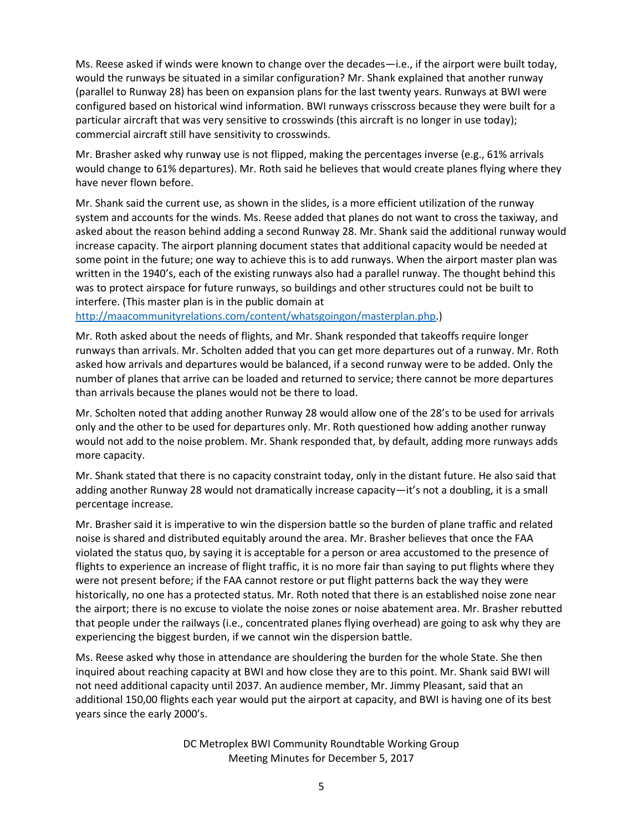Ms. Reese asked if winds were known to change over the decades—i.e., if the airport were built today, would the runways be situated in a similar configuration? Mr. Shank explained that another runway (parallel to Runway 28) has been on expansion plans for the last twenty years. Runways at BWI were configured based on historical wind information. BWI runways crisscross because they were built for a particular aircraft that was very sensitive to crosswinds (this aircraft is no longer in use today); commercial aircraft still have sensitivity to crosswinds.

Mr. Brasher asked why runway use is not flipped, making the percentages inverse (e.g., 61% arrivals would change to 61% departures). Mr. Roth said he believes that would create planes flying where they have never flown before.

Mr. Shank said the current use, as shown in the slides, is a more efficient utilization of the runway system and accounts for the winds. Ms. Reese added that planes do not want to cross the taxiway, and asked about the reason behind adding a second Runway 28. Mr. Shank said the additional runway would increase capacity. The airport planning document states that additional capacity would be needed at some point in the future; one way to achieve this is to add runways. When the airport master plan was written in the 1940's, each of the existing runways also had a parallel runway. The thought behind this was to protect airspace for future runways, so buildings and other structures could not be built to interfere. (This master plan is in the public domain at

[http://maacommunityrelations.com/content/whatsgoingon/masterplan.php.](http://maacommunityrelations.com/content/whatsgoingon/masterplan.php))

Mr. Roth asked about the needs of flights, and Mr. Shank responded that takeoffs require longer runways than arrivals. Mr. Scholten added that you can get more departures out of a runway. Mr. Roth asked how arrivals and departures would be balanced, if a second runway were to be added. Only the number of planes that arrive can be loaded and returned to service; there cannot be more departures than arrivals because the planes would not be there to load.

Mr. Scholten noted that adding another Runway 28 would allow one of the 28's to be used for arrivals only and the other to be used for departures only. Mr. Roth questioned how adding another runway would not add to the noise problem. Mr. Shank responded that, by default, adding more runways adds more capacity.

Mr. Shank stated that there is no capacity constraint today, only in the distant future. He also said that adding another Runway 28 would not dramatically increase capacity—it's not a doubling, it is a small percentage increase.

Mr. Brasher said it is imperative to win the dispersion battle so the burden of plane traffic and related noise is shared and distributed equitably around the area. Mr. Brasher believes that once the FAA violated the status quo, by saying it is acceptable for a person or area accustomed to the presence of flights to experience an increase of flight traffic, it is no more fair than saying to put flights where they were not present before; if the FAA cannot restore or put flight patterns back the way they were historically, no one has a protected status. Mr. Roth noted that there is an established noise zone near the airport; there is no excuse to violate the noise zones or noise abatement area. Mr. Brasher rebutted that people under the railways (i.e., concentrated planes flying overhead) are going to ask why they are experiencing the biggest burden, if we cannot win the dispersion battle.

Ms. Reese asked why those in attendance are shouldering the burden for the whole State. She then inquired about reaching capacity at BWI and how close they are to this point. Mr. Shank said BWI will not need additional capacity until 2037. An audience member, Mr. Jimmy Pleasant, said that an additional 150,00 flights each year would put the airport at capacity, and BWI is having one of its best years since the early 2000's.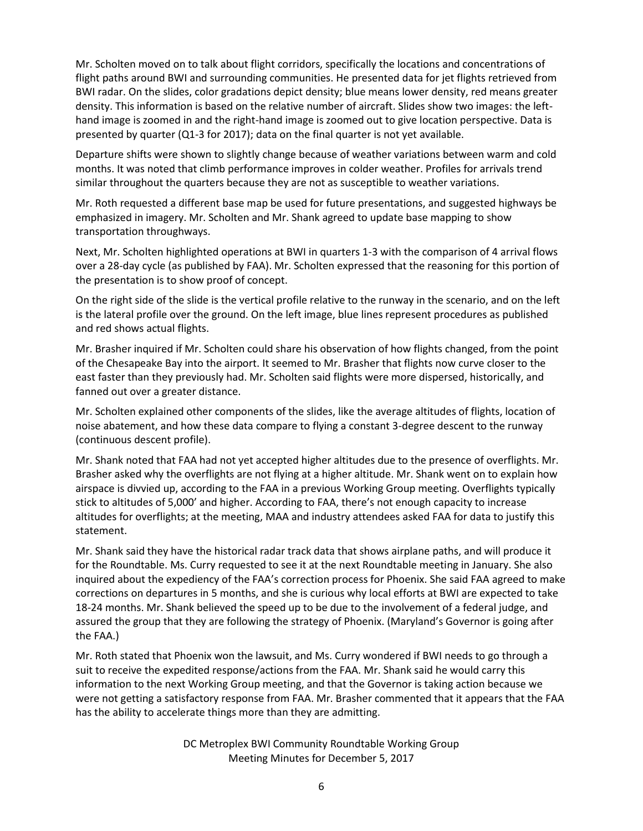Mr. Scholten moved on to talk about flight corridors, specifically the locations and concentrations of flight paths around BWI and surrounding communities. He presented data for jet flights retrieved from BWI radar. On the slides, color gradations depict density; blue means lower density, red means greater density. This information is based on the relative number of aircraft. Slides show two images: the lefthand image is zoomed in and the right-hand image is zoomed out to give location perspective. Data is presented by quarter (Q1-3 for 2017); data on the final quarter is not yet available.

Departure shifts were shown to slightly change because of weather variations between warm and cold months. It was noted that climb performance improves in colder weather. Profiles for arrivals trend similar throughout the quarters because they are not as susceptible to weather variations.

Mr. Roth requested a different base map be used for future presentations, and suggested highways be emphasized in imagery. Mr. Scholten and Mr. Shank agreed to update base mapping to show transportation throughways.

Next, Mr. Scholten highlighted operations at BWI in quarters 1-3 with the comparison of 4 arrival flows over a 28-day cycle (as published by FAA). Mr. Scholten expressed that the reasoning for this portion of the presentation is to show proof of concept.

On the right side of the slide is the vertical profile relative to the runway in the scenario, and on the left is the lateral profile over the ground. On the left image, blue lines represent procedures as published and red shows actual flights.

Mr. Brasher inquired if Mr. Scholten could share his observation of how flights changed, from the point of the Chesapeake Bay into the airport. It seemed to Mr. Brasher that flights now curve closer to the east faster than they previously had. Mr. Scholten said flights were more dispersed, historically, and fanned out over a greater distance.

Mr. Scholten explained other components of the slides, like the average altitudes of flights, location of noise abatement, and how these data compare to flying a constant 3-degree descent to the runway (continuous descent profile).

Mr. Shank noted that FAA had not yet accepted higher altitudes due to the presence of overflights. Mr. Brasher asked why the overflights are not flying at a higher altitude. Mr. Shank went on to explain how airspace is divvied up, according to the FAA in a previous Working Group meeting. Overflights typically stick to altitudes of 5,000' and higher. According to FAA, there's not enough capacity to increase altitudes for overflights; at the meeting, MAA and industry attendees asked FAA for data to justify this statement.

Mr. Shank said they have the historical radar track data that shows airplane paths, and will produce it for the Roundtable. Ms. Curry requested to see it at the next Roundtable meeting in January. She also inquired about the expediency of the FAA's correction process for Phoenix. She said FAA agreed to make corrections on departures in 5 months, and she is curious why local efforts at BWI are expected to take 18-24 months. Mr. Shank believed the speed up to be due to the involvement of a federal judge, and assured the group that they are following the strategy of Phoenix. (Maryland's Governor is going after the FAA.)

Mr. Roth stated that Phoenix won the lawsuit, and Ms. Curry wondered if BWI needs to go through a suit to receive the expedited response/actions from the FAA. Mr. Shank said he would carry this information to the next Working Group meeting, and that the Governor is taking action because we were not getting a satisfactory response from FAA. Mr. Brasher commented that it appears that the FAA has the ability to accelerate things more than they are admitting.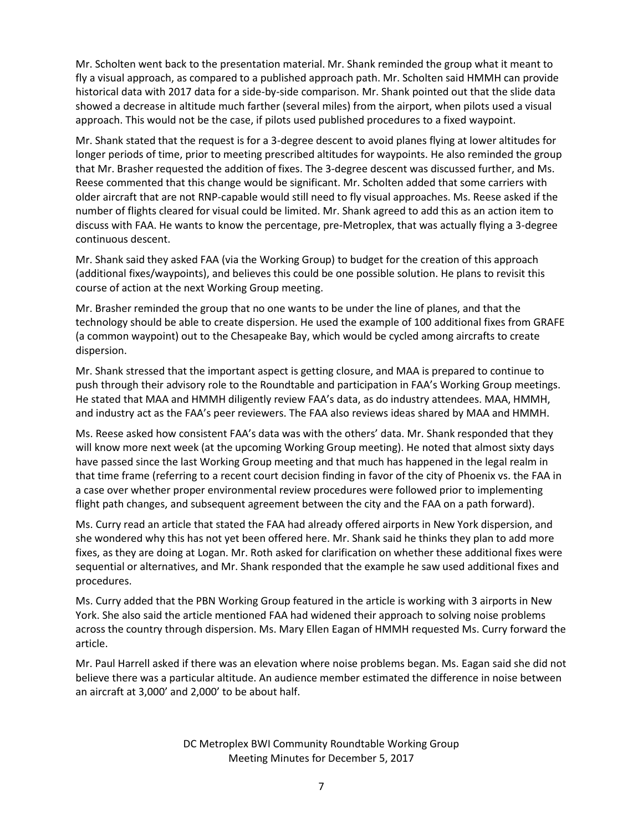Mr. Scholten went back to the presentation material. Mr. Shank reminded the group what it meant to fly a visual approach, as compared to a published approach path. Mr. Scholten said HMMH can provide historical data with 2017 data for a side-by-side comparison. Mr. Shank pointed out that the slide data showed a decrease in altitude much farther (several miles) from the airport, when pilots used a visual approach. This would not be the case, if pilots used published procedures to a fixed waypoint.

Mr. Shank stated that the request is for a 3-degree descent to avoid planes flying at lower altitudes for longer periods of time, prior to meeting prescribed altitudes for waypoints. He also reminded the group that Mr. Brasher requested the addition of fixes. The 3-degree descent was discussed further, and Ms. Reese commented that this change would be significant. Mr. Scholten added that some carriers with older aircraft that are not RNP-capable would still need to fly visual approaches. Ms. Reese asked if the number of flights cleared for visual could be limited. Mr. Shank agreed to add this as an action item to discuss with FAA. He wants to know the percentage, pre-Metroplex, that was actually flying a 3-degree continuous descent.

Mr. Shank said they asked FAA (via the Working Group) to budget for the creation of this approach (additional fixes/waypoints), and believes this could be one possible solution. He plans to revisit this course of action at the next Working Group meeting.

Mr. Brasher reminded the group that no one wants to be under the line of planes, and that the technology should be able to create dispersion. He used the example of 100 additional fixes from GRAFE (a common waypoint) out to the Chesapeake Bay, which would be cycled among aircrafts to create dispersion.

Mr. Shank stressed that the important aspect is getting closure, and MAA is prepared to continue to push through their advisory role to the Roundtable and participation in FAA's Working Group meetings. He stated that MAA and HMMH diligently review FAA's data, as do industry attendees. MAA, HMMH, and industry act as the FAA's peer reviewers. The FAA also reviews ideas shared by MAA and HMMH.

Ms. Reese asked how consistent FAA's data was with the others' data. Mr. Shank responded that they will know more next week (at the upcoming Working Group meeting). He noted that almost sixty days have passed since the last Working Group meeting and that much has happened in the legal realm in that time frame (referring to a recent court decision finding in favor of the city of Phoenix vs. the FAA in a case over whether proper environmental review procedures were followed prior to implementing flight path changes, and subsequent agreement between the city and the FAA on a path forward).

Ms. Curry read an article that stated the FAA had already offered airports in New York dispersion, and she wondered why this has not yet been offered here. Mr. Shank said he thinks they plan to add more fixes, as they are doing at Logan. Mr. Roth asked for clarification on whether these additional fixes were sequential or alternatives, and Mr. Shank responded that the example he saw used additional fixes and procedures.

Ms. Curry added that the PBN Working Group featured in the article is working with 3 airports in New York. She also said the article mentioned FAA had widened their approach to solving noise problems across the country through dispersion. Ms. Mary Ellen Eagan of HMMH requested Ms. Curry forward the article.

Mr. Paul Harrell asked if there was an elevation where noise problems began. Ms. Eagan said she did not believe there was a particular altitude. An audience member estimated the difference in noise between an aircraft at 3,000' and 2,000' to be about half.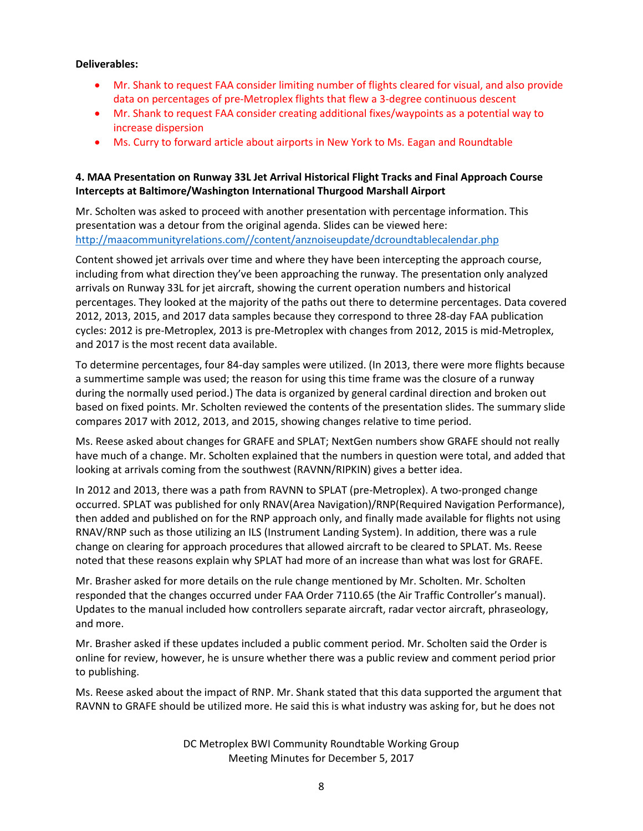### **Deliverables:**

- Mr. Shank to request FAA consider limiting number of flights cleared for visual, and also provide data on percentages of pre-Metroplex flights that flew a 3-degree continuous descent
- Mr. Shank to request FAA consider creating additional fixes/waypoints as a potential way to increase dispersion
- Ms. Curry to forward article about airports in New York to Ms. Eagan and Roundtable

# **4. MAA Presentation on Runway 33L Jet Arrival Historical Flight Tracks and Final Approach Course Intercepts at Baltimore/Washington International Thurgood Marshall Airport**

Mr. Scholten was asked to proceed with another presentation with percentage information. This presentation was a detour from the original agenda. Slides can be viewed here: [http://maacommunityrelations.com//content/anznoiseupdate/dcroundtablecalendar.php](http://maacommunityrelations.com/content/anznoiseupdate/dcroundtablecalendar.php)

Content showed jet arrivals over time and where they have been intercepting the approach course, including from what direction they've been approaching the runway. The presentation only analyzed arrivals on Runway 33L for jet aircraft, showing the current operation numbers and historical percentages. They looked at the majority of the paths out there to determine percentages. Data covered 2012, 2013, 2015, and 2017 data samples because they correspond to three 28-day FAA publication cycles: 2012 is pre-Metroplex, 2013 is pre-Metroplex with changes from 2012, 2015 is mid-Metroplex, and 2017 is the most recent data available.

To determine percentages, four 84-day samples were utilized. (In 2013, there were more flights because a summertime sample was used; the reason for using this time frame was the closure of a runway during the normally used period.) The data is organized by general cardinal direction and broken out based on fixed points. Mr. Scholten reviewed the contents of the presentation slides. The summary slide compares 2017 with 2012, 2013, and 2015, showing changes relative to time period.

Ms. Reese asked about changes for GRAFE and SPLAT; NextGen numbers show GRAFE should not really have much of a change. Mr. Scholten explained that the numbers in question were total, and added that looking at arrivals coming from the southwest (RAVNN/RIPKIN) gives a better idea.

In 2012 and 2013, there was a path from RAVNN to SPLAT (pre-Metroplex). A two-pronged change occurred. SPLAT was published for only RNAV(Area Navigation)/RNP(Required Navigation Performance), then added and published on for the RNP approach only, and finally made available for flights not using RNAV/RNP such as those utilizing an ILS (Instrument Landing System). In addition, there was a rule change on clearing for approach procedures that allowed aircraft to be cleared to SPLAT. Ms. Reese noted that these reasons explain why SPLAT had more of an increase than what was lost for GRAFE.

Mr. Brasher asked for more details on the rule change mentioned by Mr. Scholten. Mr. Scholten responded that the changes occurred under FAA Order 7110.65 (the Air Traffic Controller's manual). Updates to the manual included how controllers separate aircraft, radar vector aircraft, phraseology, and more.

Mr. Brasher asked if these updates included a public comment period. Mr. Scholten said the Order is online for review, however, he is unsure whether there was a public review and comment period prior to publishing.

Ms. Reese asked about the impact of RNP. Mr. Shank stated that this data supported the argument that RAVNN to GRAFE should be utilized more. He said this is what industry was asking for, but he does not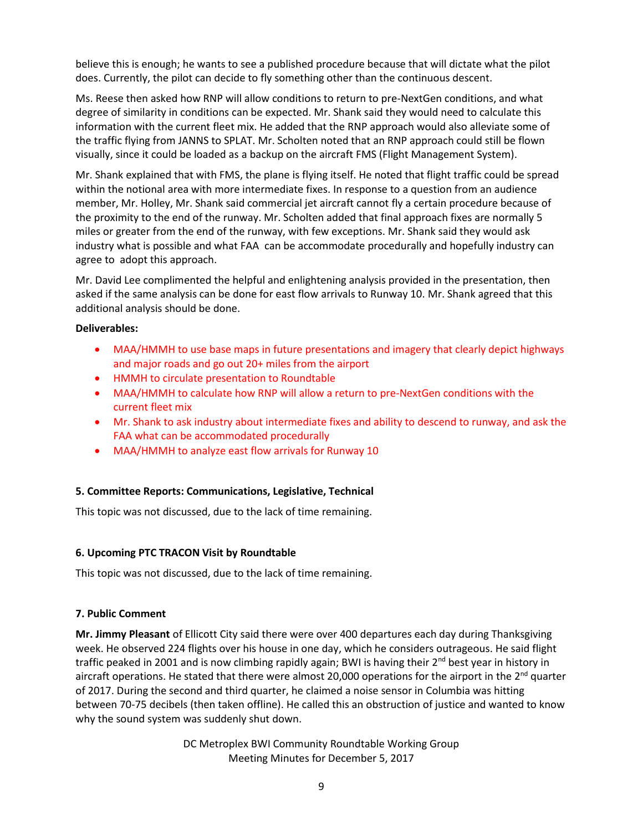believe this is enough; he wants to see a published procedure because that will dictate what the pilot does. Currently, the pilot can decide to fly something other than the continuous descent.

Ms. Reese then asked how RNP will allow conditions to return to pre-NextGen conditions, and what degree of similarity in conditions can be expected. Mr. Shank said they would need to calculate this information with the current fleet mix. He added that the RNP approach would also alleviate some of the traffic flying from JANNS to SPLAT. Mr. Scholten noted that an RNP approach could still be flown visually, since it could be loaded as a backup on the aircraft FMS (Flight Management System).

Mr. Shank explained that with FMS, the plane is flying itself. He noted that flight traffic could be spread within the notional area with more intermediate fixes. In response to a question from an audience member, Mr. Holley, Mr. Shank said commercial jet aircraft cannot fly a certain procedure because of the proximity to the end of the runway. Mr. Scholten added that final approach fixes are normally 5 miles or greater from the end of the runway, with few exceptions. Mr. Shank said they would ask industry what is possible and what FAA can be accommodate procedurally and hopefully industry can agree to adopt this approach.

Mr. David Lee complimented the helpful and enlightening analysis provided in the presentation, then asked if the same analysis can be done for east flow arrivals to Runway 10. Mr. Shank agreed that this additional analysis should be done.

#### **Deliverables:**

- MAA/HMMH to use base maps in future presentations and imagery that clearly depict highways and major roads and go out 20+ miles from the airport
- HMMH to circulate presentation to Roundtable
- MAA/HMMH to calculate how RNP will allow a return to pre-NextGen conditions with the current fleet mix
- Mr. Shank to ask industry about intermediate fixes and ability to descend to runway, and ask the FAA what can be accommodated procedurally
- MAA/HMMH to analyze east flow arrivals for Runway 10

### **5. Committee Reports: Communications, Legislative, Technical**

This topic was not discussed, due to the lack of time remaining.

### **6. Upcoming PTC TRACON Visit by Roundtable**

This topic was not discussed, due to the lack of time remaining.

### **7. Public Comment**

**Mr. Jimmy Pleasant** of Ellicott City said there were over 400 departures each day during Thanksgiving week. He observed 224 flights over his house in one day, which he considers outrageous. He said flight traffic peaked in 2001 and is now climbing rapidly again; BWI is having their  $2^{nd}$  best year in history in aircraft operations. He stated that there were almost 20,000 operations for the airport in the 2<sup>nd</sup> quarter of 2017. During the second and third quarter, he claimed a noise sensor in Columbia was hitting between 70-75 decibels (then taken offline). He called this an obstruction of justice and wanted to know why the sound system was suddenly shut down.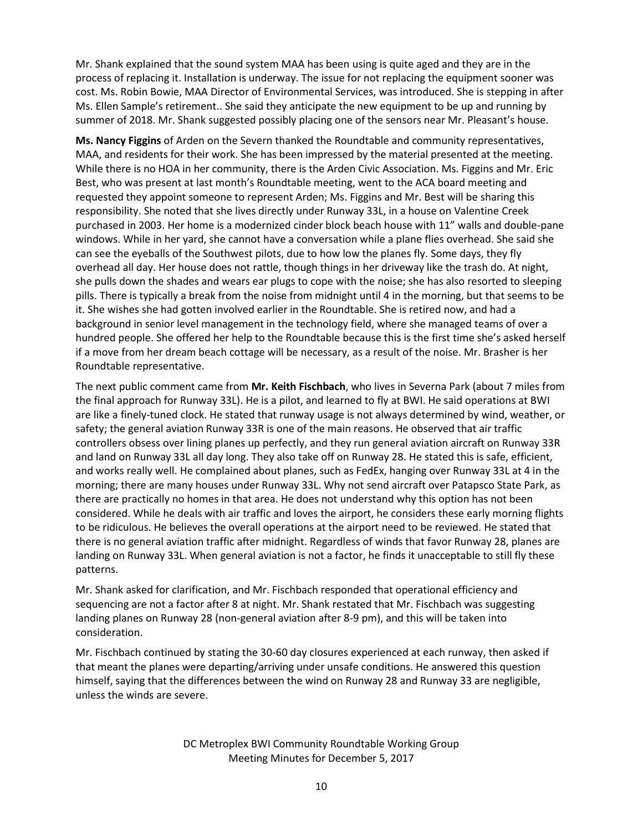Mr. Shank explained that the sound system MAA has been using is quite aged and they are in the process of replacing it. Installation is underway. The issue for not replacing the equipment sooner was cost. Ms. Robin Bowie, MAA Director of Environmental Services, was introduced. She is stepping in after Ms. Ellen Sample's retirement.. She said they anticipate the new equipment to be up and running by summer of 2018. Mr. Shank suggested possibly placing one of the sensors near Mr. Pleasant's house.

**Ms. Nancy Figgins** of Arden on the Severn thanked the Roundtable and community representatives, MAA, and residents for their work. She has been impressed by the material presented at the meeting. While there is no HOA in her community, there is the Arden Civic Association. Ms. Figgins and Mr. Eric Best, who was present at last month's Roundtable meeting, went to the ACA board meeting and requested they appoint someone to represent Arden; Ms. Figgins and Mr. Best will be sharing this responsibility. She noted that she lives directly under Runway 33L, in a house on Valentine Creek purchased in 2003. Her home is a modernized cinder block beach house with 11" walls and double-pane windows. While in her yard, she cannot have a conversation while a plane flies overhead. She said she can see the eyeballs of the Southwest pilots, due to how low the planes fly. Some days, they fly overhead all day. Her house does not rattle, though things in her driveway like the trash do. At night, she pulls down the shades and wears ear plugs to cope with the noise; she has also resorted to sleeping pills. There is typically a break from the noise from midnight until 4 in the morning, but that seems to be it. She wishes she had gotten involved earlier in the Roundtable. She is retired now, and had a background in senior level management in the technology field, where she managed teams of over a hundred people. She offered her help to the Roundtable because this is the first time she's asked herself if a move from her dream beach cottage will be necessary, as a result of the noise. Mr. Brasher is her Roundtable representative.

The next public comment came from **Mr. Keith Fischbach**, who lives in Severna Park (about 7 miles from the final approach for Runway 33L). He is a pilot, and learned to fly at BWI. He said operations at BWI are like a finely-tuned clock. He stated that runway usage is not always determined by wind, weather, or safety; the general aviation Runway 33R is one of the main reasons. He observed that air traffic controllers obsess over lining planes up perfectly, and they run general aviation aircraft on Runway 33R and land on Runway 33L all day long. They also take off on Runway 28. He stated this is safe, efficient, and works really well. He complained about planes, such as FedEx, hanging over Runway 33L at 4 in the morning; there are many houses under Runway 33L. Why not send aircraft over Patapsco State Park, as there are practically no homes in that area. He does not understand why this option has not been considered. While he deals with air traffic and loves the airport, he considers these early morning flights to be ridiculous. He believes the overall operations at the airport need to be reviewed. He stated that there is no general aviation traffic after midnight. Regardless of winds that favor Runway 28, planes are landing on Runway 33L. When general aviation is not a factor, he finds it unacceptable to still fly these patterns.

Mr. Shank asked for clarification, and Mr. Fischbach responded that operational efficiency and sequencing are not a factor after 8 at night. Mr. Shank restated that Mr. Fischbach was suggesting landing planes on Runway 28 (non-general aviation after 8-9 pm), and this will be taken into consideration.

Mr. Fischbach continued by stating the 30-60 day closures experienced at each runway, then asked if that meant the planes were departing/arriving under unsafe conditions. He answered this question himself, saying that the differences between the wind on Runway 28 and Runway 33 are negligible, unless the winds are severe.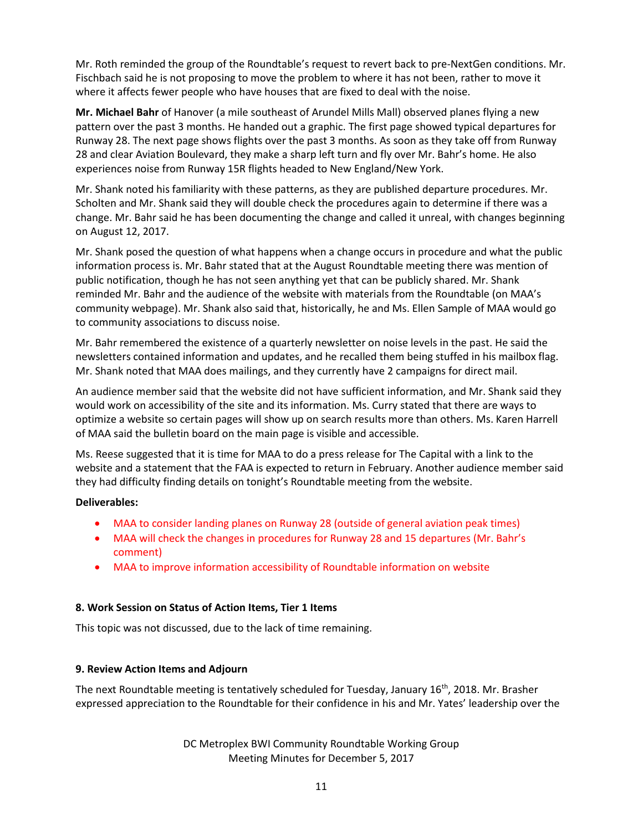Mr. Roth reminded the group of the Roundtable's request to revert back to pre-NextGen conditions. Mr. Fischbach said he is not proposing to move the problem to where it has not been, rather to move it where it affects fewer people who have houses that are fixed to deal with the noise.

**Mr. Michael Bahr** of Hanover (a mile southeast of Arundel Mills Mall) observed planes flying a new pattern over the past 3 months. He handed out a graphic. The first page showed typical departures for Runway 28. The next page shows flights over the past 3 months. As soon as they take off from Runway 28 and clear Aviation Boulevard, they make a sharp left turn and fly over Mr. Bahr's home. He also experiences noise from Runway 15R flights headed to New England/New York.

Mr. Shank noted his familiarity with these patterns, as they are published departure procedures. Mr. Scholten and Mr. Shank said they will double check the procedures again to determine if there was a change. Mr. Bahr said he has been documenting the change and called it unreal, with changes beginning on August 12, 2017.

Mr. Shank posed the question of what happens when a change occurs in procedure and what the public information process is. Mr. Bahr stated that at the August Roundtable meeting there was mention of public notification, though he has not seen anything yet that can be publicly shared. Mr. Shank reminded Mr. Bahr and the audience of the website with materials from the Roundtable (on MAA's community webpage). Mr. Shank also said that, historically, he and Ms. Ellen Sample of MAA would go to community associations to discuss noise.

Mr. Bahr remembered the existence of a quarterly newsletter on noise levels in the past. He said the newsletters contained information and updates, and he recalled them being stuffed in his mailbox flag. Mr. Shank noted that MAA does mailings, and they currently have 2 campaigns for direct mail.

An audience member said that the website did not have sufficient information, and Mr. Shank said they would work on accessibility of the site and its information. Ms. Curry stated that there are ways to optimize a website so certain pages will show up on search results more than others. Ms. Karen Harrell of MAA said the bulletin board on the main page is visible and accessible.

Ms. Reese suggested that it is time for MAA to do a press release for The Capital with a link to the website and a statement that the FAA is expected to return in February. Another audience member said they had difficulty finding details on tonight's Roundtable meeting from the website.

### **Deliverables:**

- MAA to consider landing planes on Runway 28 (outside of general aviation peak times)
- MAA will check the changes in procedures for Runway 28 and 15 departures (Mr. Bahr's comment)
- MAA to improve information accessibility of Roundtable information on website

### **8. Work Session on Status of Action Items, Tier 1 Items**

This topic was not discussed, due to the lack of time remaining.

### **9. Review Action Items and Adjourn**

The next Roundtable meeting is tentatively scheduled for Tuesday, January 16<sup>th</sup>, 2018. Mr. Brasher expressed appreciation to the Roundtable for their confidence in his and Mr. Yates' leadership over the